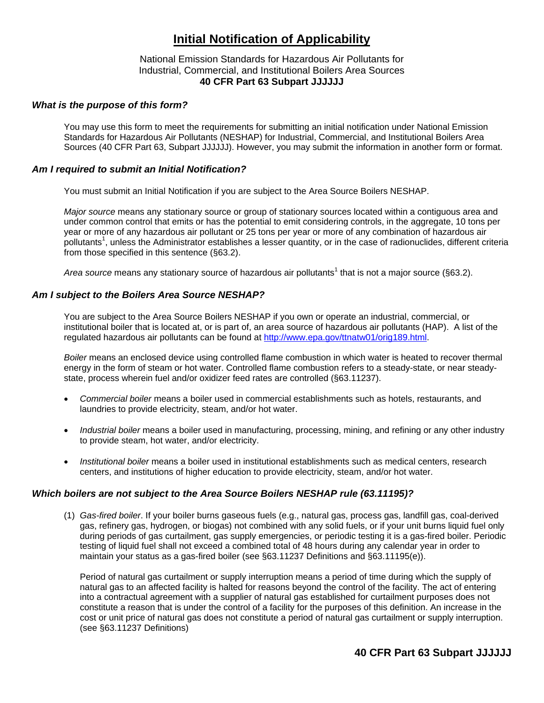# **Initial Notification of Applicability**

### National Emission Standards for Hazardous Air Pollutants for Industrial, Commercial, and Institutional Boilers Area Sources **40 CFR Part 63 Subpart JJJJJJ**

#### *What is the purpose of this form?*

You may use this form to meet the requirements for submitting an initial notification under National Emission Standards for Hazardous Air Pollutants (NESHAP) for Industrial, Commercial, and Institutional Boilers Area Sources (40 CFR Part 63, Subpart JJJJJJ). However, you may submit the information in another form or format.

#### *Am I required to submit an Initial Notification?*

You must submit an Initial Notification if you are subject to the Area Source Boilers NESHAP.

*Major source* means any stationary source or group of stationary sources located within a contiguous area and under common control that emits or has the potential to emit considering controls, in the aggregate, 10 tons per year or more of any hazardous air pollutant or 25 tons per year or more of any combination of hazardous air pollutants<sup>1</sup>, unless the Administrator establishes a lesser quantity, or in the case of radionuclides, different criteria from those specified in this sentence (§63.2).

Area source means any stationary source of hazardous air pollutants<sup>1</sup> that is not a major source (§63.2).

### *Am I subject to the Boilers Area Source NESHAP?*

You are subject to the Area Source Boilers NESHAP if you own or operate an industrial, commercial, or institutional boiler that is located at, or is part of, an area source of hazardous air pollutants (HAP). A list of the regulated hazardous air pollutants can be found at [http://www.epa.gov/ttnatw01/orig189.html.](http://www.epa.gov/ttnatw01/orig189.html)

*Boiler* means an enclosed device using controlled flame combustion in which water is heated to recover thermal energy in the form of steam or hot water. Controlled flame combustion refers to a steady-state, or near steadystate, process wherein fuel and/or oxidizer feed rates are controlled (§63.11237).

- *Commercial boiler* means a boiler used in commercial establishments such as hotels, restaurants, and laundries to provide electricity, steam, and/or hot water.
- *Industrial boiler* means a boiler used in manufacturing, processing, mining, and refining or any other industry to provide steam, hot water, and/or electricity.
- *Institutional boiler* means a boiler used in institutional establishments such as medical centers, research centers, and institutions of higher education to provide electricity, steam, and/or hot water.

### *Which boilers are not subject to the Area Source Boilers NESHAP rule (63.11195)?*

(1) *Gas-fired boiler*. If your boiler burns gaseous fuels (e.g., natural gas, process gas, landfill gas, coal-derived gas, refinery gas, hydrogen, or biogas) not combined with any solid fuels, or if your unit burns liquid fuel only during periods of gas curtailment, gas supply emergencies, or periodic testing it is a gas-fired boiler. Periodic testing of liquid fuel shall not exceed a combined total of 48 hours during any calendar year in order to maintain your status as a gas-fired boiler (see §63.11237 Definitions and §63.11195(e)).

Period of natural gas curtailment or supply interruption means a period of time during which the supply of natural gas to an affected facility is halted for reasons beyond the control of the facility. The act of entering into a contractual agreement with a supplier of natural gas established for curtailment purposes does not constitute a reason that is under the control of a facility for the purposes of this definition. An increase in the cost or unit price of natural gas does not constitute a period of natural gas curtailment or supply interruption. (see §63.11237 Definitions)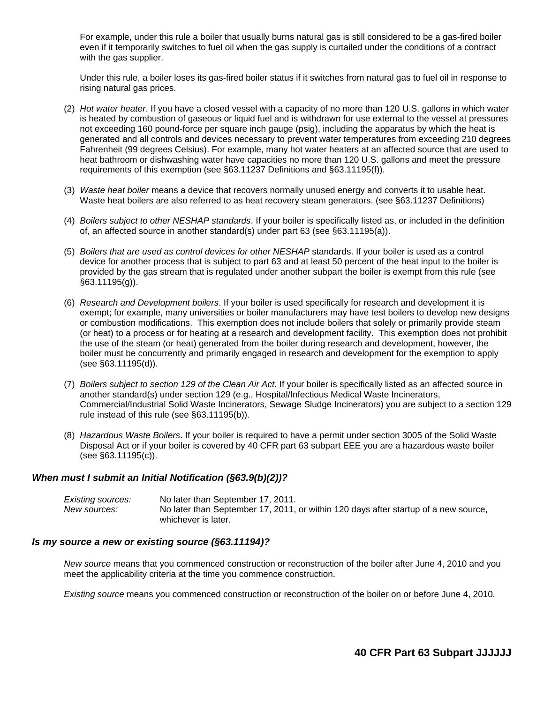For example, under this rule a boiler that usually burns natural gas is still considered to be a gas-fired boiler even if it temporarily switches to fuel oil when the gas supply is curtailed under the conditions of a contract with the gas supplier.

Under this rule, a boiler loses its gas-fired boiler status if it switches from natural gas to fuel oil in response to rising natural gas prices.

- (2) *Hot water heater*. If you have a closed vessel with a capacity of no more than 120 U.S. gallons in which water is heated by combustion of gaseous or liquid fuel and is withdrawn for use external to the vessel at pressures not exceeding 160 pound-force per square inch gauge (psig), including the apparatus by which the heat is generated and all controls and devices necessary to prevent water temperatures from exceeding 210 degrees Fahrenheit (99 degrees Celsius). For example, many hot water heaters at an affected source that are used to heat bathroom or dishwashing water have capacities no more than 120 U.S. gallons and meet the pressure requirements of this exemption (see §63.11237 Definitions and §63.11195(f)).
- (3) *Waste heat boiler* means a device that recovers normally unused energy and converts it to usable heat. Waste heat boilers are also referred to as heat recovery steam generators. (see §63.11237 Definitions)
- (4) *Boilers subject to other NESHAP standards*. If your boiler is specifically listed as, or included in the definition of, an affected source in another standard(s) under part 63 (see §63.11195(a)).
- (5) *Boilers that are used as control devices for other NESHAP* standards. If your boiler is used as a control device for another process that is subject to part 63 and at least 50 percent of the heat input to the boiler is provided by the gas stream that is regulated under another subpart the boiler is exempt from this rule (see §63.11195(g)).
- (6) *Research and Development boilers*. If your boiler is used specifically for research and development it is exempt; for example, many universities or boiler manufacturers may have test boilers to develop new designs or combustion modifications. This exemption does not include boilers that solely or primarily provide steam (or heat) to a process or for heating at a research and development facility. This exemption does not prohibit the use of the steam (or heat) generated from the boiler during research and development, however, the boiler must be concurrently and primarily engaged in research and development for the exemption to apply (see §63.11195(d)).
- (7) *Boilers subject to section 129 of the Clean Air Act*. If your boiler is specifically listed as an affected source in another standard(s) under section 129 (e.g., Hospital/Infectious Medical Waste Incinerators, Commercial/Industrial Solid Waste Incinerators, Sewage Sludge Incinerators) you are subject to a section 129 rule instead of this rule (see §63.11195(b)).
- (8) *Hazardous Waste Boilers*. If your boiler is required to have a permit under section 3005 of the Solid Waste Disposal Act or if your boiler is covered by 40 CFR part 63 subpart EEE you are a hazardous waste boiler (see §63.11195(c)).

#### *When must I submit an Initial Notification (§63.9(b)(2))?*

| Existing sources: | No later than September 17, 2011.                                                   |
|-------------------|-------------------------------------------------------------------------------------|
| New sources:      | No later than September 17, 2011, or within 120 days after startup of a new source, |
|                   | whichever is later.                                                                 |

#### *Is my source a new or existing source (§63.11194)?*

*New source* means that you commenced construction or reconstruction of the boiler after June 4, 2010 and you meet the applicability criteria at the time you commence construction.

*Existing source* means you commenced construction or reconstruction of the boiler on or before June 4, 2010*.*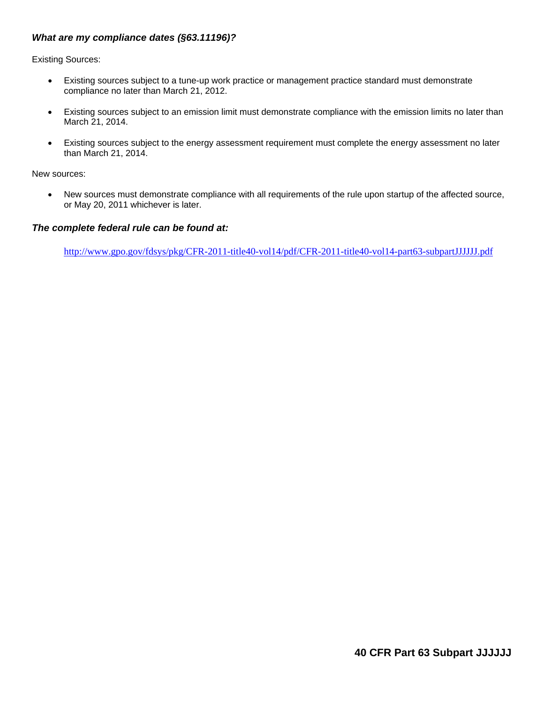### *What are my compliance dates (§63.11196)?*

Existing Sources:

- Existing sources subject to a tune-up work practice or management practice standard must demonstrate compliance no later than March 21, 2012.
- Existing sources subject to an emission limit must demonstrate compliance with the emission limits no later than March 21, 2014.
- Existing sources subject to the energy assessment requirement must complete the energy assessment no later than March 21, 2014.

New sources:

 New sources must demonstrate compliance with all requirements of the rule upon startup of the affected source, or May 20, 2011 whichever is later.

#### *The complete federal rule can be found at:*

<http://www.gpo.gov/fdsys/pkg/CFR-2011-title40-vol14/pdf/CFR-2011-title40-vol14-part63-subpartJJJJJJ.pdf>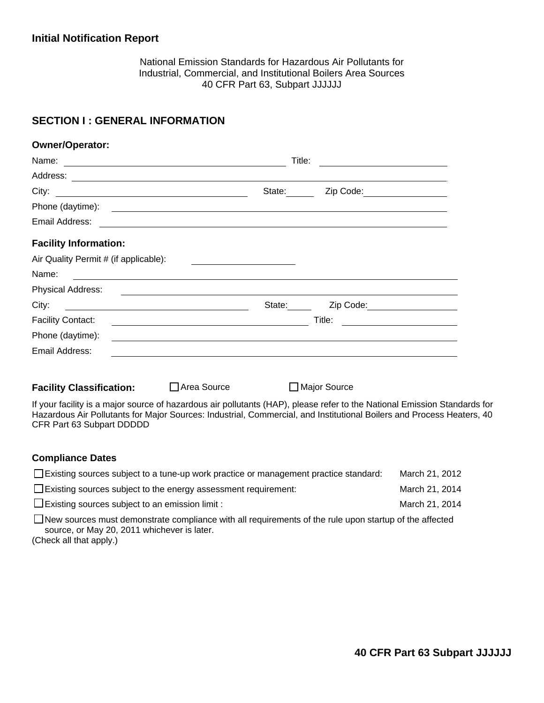## **Initial Notification Report**

National Emission Standards for Hazardous Air Pollutants for Industrial, Commercial, and Institutional Boilers Area Sources 40 CFR Part 63, Subpart JJJJJJ

### **SECTION I : GENERAL INFORMATION**

| Owner/Operator:                                                                                                               |                                                                                                                        |        |                                                                                                                       |  |
|-------------------------------------------------------------------------------------------------------------------------------|------------------------------------------------------------------------------------------------------------------------|--------|-----------------------------------------------------------------------------------------------------------------------|--|
| Name:<br><u> Alexandria de la contrada de la contrada de la contrada de la contrada de la contrada de la contrada de la c</u> |                                                                                                                        | Title: |                                                                                                                       |  |
|                                                                                                                               |                                                                                                                        |        | the control of the control of the control of the control of the control of the control of                             |  |
|                                                                                                                               |                                                                                                                        | State: | Zip Code: __________________                                                                                          |  |
| Phone (daytime):                                                                                                              |                                                                                                                        |        | <u> Andreas Andreas Andreas Andreas Andreas Andreas Andreas Andreas Andreas Andreas Andreas Andreas Andreas Andr</u>  |  |
| Email Address:                                                                                                                |                                                                                                                        |        |                                                                                                                       |  |
| <b>Facility Information:</b>                                                                                                  |                                                                                                                        |        |                                                                                                                       |  |
| Air Quality Permit # (if applicable):                                                                                         |                                                                                                                        |        |                                                                                                                       |  |
| Name:                                                                                                                         |                                                                                                                        |        |                                                                                                                       |  |
| Physical Address:                                                                                                             |                                                                                                                        |        | <u> 1989 - Johann Stoff, amerikansk politiker (d. 1989)</u>                                                           |  |
| City:                                                                                                                         | <u> 1989 - Johann Stoff, deutscher Stoffen und der Stoffen und der Stoffen und der Stoffen und der Stoffen und der</u> | State: | Zip Code: ____________________                                                                                        |  |
| <b>Facility Contact:</b>                                                                                                      |                                                                                                                        |        | Title:                                                                                                                |  |
| Phone (daytime):                                                                                                              |                                                                                                                        |        | <u> 1989 - Johann Stoff, deutscher Stoff, der Stoff, der Stoff, der Stoff, der Stoff, der Stoff, der Stoff, der S</u> |  |
| Email Address:                                                                                                                |                                                                                                                        |        | <u> 1989 - Andrea Santa Andrea Andrea Andrea Andrea Andrea Andrea Andrea Andrea Andrea Andrea Andrea Andrea Andr</u>  |  |
| <b>Facility Classification:</b>                                                                                               | Area Source                                                                                                            |        | <b>Major Source</b>                                                                                                   |  |

If your facility is a major source of hazardous air pollutants (HAP), please refer to the National Emission Standards for Hazardous Air Pollutants for Major Sources: Industrial, Commercial, and Institutional Boilers and Process Heaters, 40 CFR Part 63 Subpart DDDDD

#### **Compliance Dates**

| $\Box$ Existing sources subject to a tune-up work practice or management practice standard:                                                                  | March 21, 2012 |  |  |
|--------------------------------------------------------------------------------------------------------------------------------------------------------------|----------------|--|--|
| $\Box$ Existing sources subject to the energy assessment requirement:                                                                                        | March 21, 2014 |  |  |
| $\Box$ Existing sources subject to an emission limit :                                                                                                       | March 21, 2014 |  |  |
| $\Box$ New sources must demonstrate compliance with all requirements of the rule upon startup of the affected<br>source, or May 20, 2011 whichever is later. |                |  |  |

(Check all that apply.)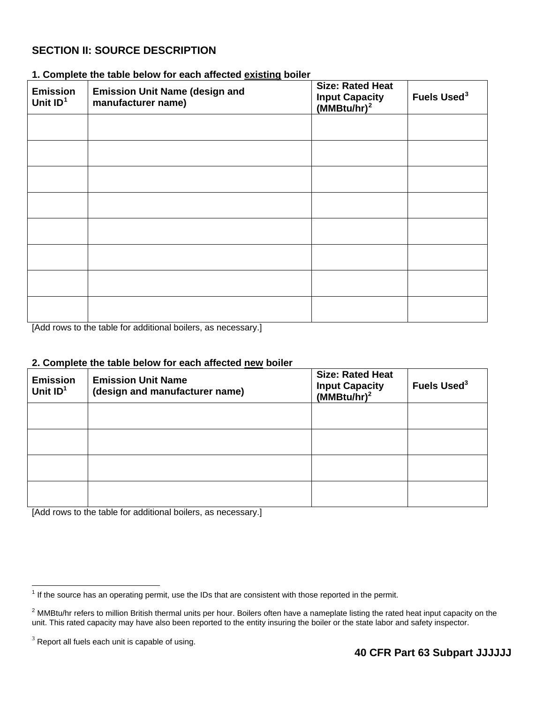# **SECTION II: SOURCE DESCRIPTION**

| <b>Emission</b><br>Unit $ID1$ | <b>Emission Unit Name (design and</b><br>manufacturer name) | <b>Size: Rated Heat</b><br>Input Capacity<br>(MMBtu/hr) <sup>2</sup> | Fuels Used <sup>3</sup> |
|-------------------------------|-------------------------------------------------------------|----------------------------------------------------------------------|-------------------------|
|                               |                                                             |                                                                      |                         |
|                               |                                                             |                                                                      |                         |
|                               |                                                             |                                                                      |                         |
|                               |                                                             |                                                                      |                         |
|                               |                                                             |                                                                      |                         |
|                               |                                                             |                                                                      |                         |
|                               |                                                             |                                                                      |                         |
|                               |                                                             |                                                                      |                         |

### **1. Complete the table below for each affected existing boiler**

[Add rows to the table for additional boilers, as necessary.]

### **2. Complete the table below for each affected new boiler**

| <b>Emission</b><br>Unit $ID1$ | <b>Emission Unit Name</b><br>(design and manufacturer name) | <b>Size: Rated Heat</b><br><b>Input Capacity</b><br>(MMBtu/hr) <sup>2</sup> | Fuels Used <sup>3</sup> |
|-------------------------------|-------------------------------------------------------------|-----------------------------------------------------------------------------|-------------------------|
|                               |                                                             |                                                                             |                         |
|                               |                                                             |                                                                             |                         |
|                               |                                                             |                                                                             |                         |
|                               |                                                             |                                                                             |                         |

[Add rows to the table for additional boilers, as necessary.]

<span id="page-4-0"></span>The source has an operating permit, use the IDs that are consistent with those reported in the permit.

<span id="page-4-1"></span> $^2$  MMBtu/hr refers to million British thermal units per hour. Boilers often have a nameplate listing the rated heat input capacity on the unit. This rated capacity may have also been reported to the entity insuring the boiler or the state labor and safety inspector.

<span id="page-4-2"></span> $3$  Report all fuels each unit is capable of using.